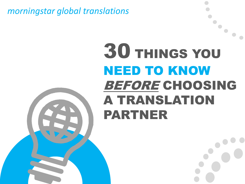*morningstar global translations*

## 30 THINGS YOU NEED TO KNOW BEFORE CHOOSING A TRANSLATION PARTNER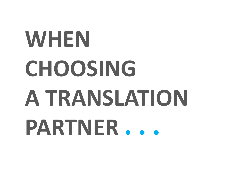# **WHEN CHOOSING A TRANSLATION PARTNER**…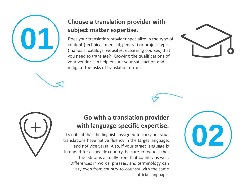

#### **Choose a translation provider with subject matter expertise.**

Does your translation provider specialize in the type of content (technical, medical, general) or project types (manuals, catalogs, websites, eLearning courses) that you need to translate? Knowing the qualifications of your vendor can help ensure your satisfaction and mitigate the risks of translation errors.





#### **Go with a translation provider with language-specific expertise.**

It's critical that the linguists assigned to carry out your translations have native fluency in the target language, and not vice versa. Also, if your target language is intended for a specific country, be sure to request that the editor is actually from that country as well. Differences in words, phrases, and terminology can vary even from country-to-country with the same official language.

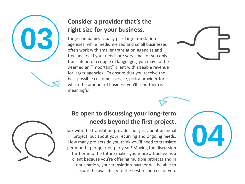

#### **Consider a provider that's the right size for your business.**

Large companies usually pick large translation agencies, while medium-sized and small businesses often work with smaller translation agencies and freelancers. If your needs are very small or you only translate into a couple of languages, you may not be deemed an "important" client with sizeable revenue for larger agencies. To ensure that you receive the best possible customer service, pick a provider for which the amount of business you'll send them is meaningful.





#### **Be open to discussing your long-term needs beyond the first project.**

Talk with the translation provider not just about an initial project, but about your recurring and ongoing needs. How many projects do you think you'll need to translate per month, per quarter, per year? Moving the discussion further into the future makes you more attractive as a client because you're offering multiple projects and in anticipation, your translation partner will be able to secure the availability of the best resources for you.

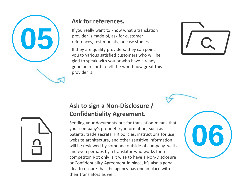

#### **Ask for references.**

If you really want to know what a translation provider is made of, ask for customer references, testimonials, or case studies.

If they are quality providers, they can point you to various satisfied customers who will be glad to speak with you or who have already gone on record to tell the world how great this provider is.



#### **Ask to sign a Non-Disclosure / Confidentiality Agreement.**

Sending your documents out for translation means that your company's proprietary information, such as patents, trade secrets, HR policies, instructions for use, website architecture, and other sensitive information will be reviewed by someone outside of company walls and even perhaps by a translator who works for a competitor. Not only is it wise to have a Non-Disclosure or Confidentiality Agreement in place, it's also a good idea to ensure that the agency has one in place with their translators as well.



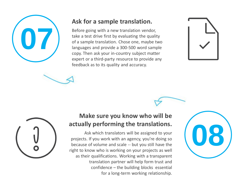

#### **Ask for a sample translation.**

Before going with a new translation vendor, take a test drive first by evaluating the quality of a sample translation. Chose one, maybe two languages and provide a 300-500 word sample copy. Then ask your in-country subject matter expert or a third-party resource to provide any feedback as to its quality and accuracy.





#### **Make sure you know who will be actually performing the translations.**

Ask which translators will be assigned to your projects. If you work with an agency, you're doing so because of volume and scale -- but you still have the right to know who is working on your projects as well as their qualifications. Working with a transparent translation partner will help form trust and confidence – the building blocks essential for a long-term working relationship.

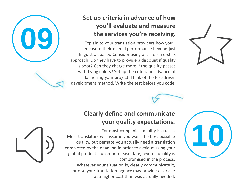

#### **Set up criteria in advance of how you'll evaluate and measure the services you're receiving.**

Explain to your translation providers how you'll measure their overall performance beyond just linguistic quality. Consider using a carrot-and-stick approach. Do they have to provide a discount if quality is poor? Can they charge more if the quality passes with flying colors? Set up the criteria in advance of launching your project. Think of the test-driven development method. Write the test before you code.



**10**



For most companies, quality is crucial. Most translators will assume you want the best possible quality, but perhaps you actually need a translation completed by the deadline in order to avoid missing your global product launch or release date, even if quality is compromised in the process.

Whatever your situation is, clearly communicate it, or else your translation agency may provide a service at a higher cost than was actually needed.

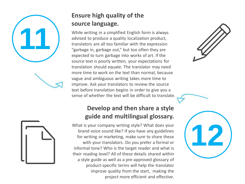

#### **Ensure high quality of the source language.**

While writing in a simplified English form is always advised to produce a quality localization product, translators are all too familiar with the expression "garbage in, garbage out," but too often they are expected to turn garbage into works of art. If the source text is poorly written, your expectations for translation should equate. The translator may need more time to work on the text than normal, because vague and ambiguous writing takes more time to improve. Ask your translators to review the source text before translation begins in order to give you a sense of whether the text will be difficult to translate.

#### **Develop and then share a style guide and multilingual glossary.**

What is your company writing style? What does your brand voice sound like? If you have any guidelines for writing or marketing, make sure to share these with your translators. Do you prefer a formal or informal tone? Who is the target reader and what is their reading level? All of these details shared within a style guide as well as a pre-approved glossary of product-specific terms will help the translator improve quality from the start, making the project more efficient and effective.



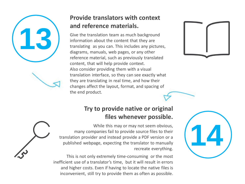

#### **Provide translators with context and reference materials.**

Give the translation team as much background information about the content that they are translating as you can. This includes any pictures, diagrams, manuals, web pages, or any other reference material, such as previously translated content, that will help provide context. Also consider providing them with a visual translation interface, so they can see exactly what they are translating in real time, and how their changes affect the layout, format, and spacing of the end product.

#### **Try to provide native or original files whenever possible.**

While this may or may not seem obvious, many companies fail to provide source files to their translation provider and instead provide a PDF version or a published webpage, expecting the translator to manually recreate everything.

This is not only extremely time-consuming or the most inefficient use of a translator's time, but it will result in errors and higher costs. Even if having to locate the native files is inconvenient, still try to provide them as often as possible.



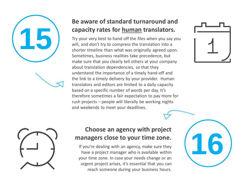

#### **Be aware of standard turnaround and capacity rates for human translators.**

Try your very best to hand off the files when you say you will, and don't try to compress the translation into a shorter timeline than what was originally agreed upon. Sometimes, business realities take precedence, but make sure that you clearly tell others at your company about translation dependencies, so that they understand the importance of a timely hand-off and the link to a timely delivery by your provider. Human translators and editors are limited to a daily capacity based on a specific number of words per day. It's therefore sometimes a fair expectation to pay more for rush projects – people will literally be working nights and weekends to meet your deadlines.



**16**



#### **Choose an agency with project managers close to your time zone.**

If you're dealing with an agency, make sure they have a project manager who is available within your time zone. In case your needs change or an urgent project arises, it's essential that you can reach someone during your business hours.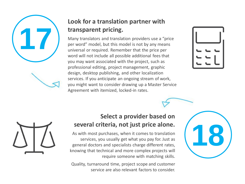

#### **Look for a translation partner with transparent pricing.**

Many translators and translation providers use a "price per word" model, but this model is not by any means universal or required. Remember that the price per word will not include all possible additional fees that you may want associated with the project, such as professional editing, project management, graphic design, desktop publishing, and other localization services. If you anticipate an ongoing stream of work, you might want to consider drawing up a Master Service Agreement with itemized, locked-in rates.





#### **Select a provider based on several criteria, not just price alone.**

As with most purchases, when it comes to translation services, you usually get what you pay for. Just as general doctors and specialists charge different rates, knowing that technical and more complex projects will require someone with matching skills.

Quality, turnaround time, project scope and customer service are also relevant factors to consider.

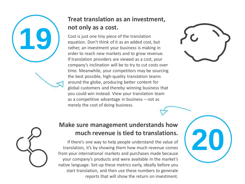# **19**

#### **Treat translation as an investment, not only as a cost.**

Cost is just one tiny piece of the translation equation. Don't think of it as an added cost, but rather, an investment your business is making in order to reach new markets and to grow revenue. If translation providers are viewed as a cost, your company's inclination will be to try to cut costs over time. Meanwhile, your competitors may be sourcing the best possible, high-quality translation teams around the globe, producing better content for global customers and thereby winning business that you could win instead. View your translation team as a competitive advantage in business – not as merely the cost of doing business.



**20**



#### **Make sure management understands how much revenue is tied to translations.**

If there's one way to help people understand the value of translation, it's by showing them how much revenue comes from your international markets and purchases made because your company's products and were available in the market's native language. Set-up these metrics early, ideally before you start translation, and then use these numbers to generate reports that will show the return on investment.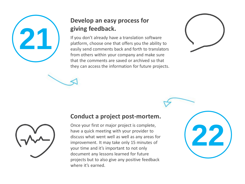

#### **Develop an easy process for giving feedback.**

If you don't already have a translation software platform, choose one that offers you the ability to easily send comments back and forth to translators from others within your company and make sure that the comments are saved or archived so that they can access the information for future projects.





#### **Conduct a project post-mortem.**

Once your first or major project is complete, have a quick meeting with your provider to discuss what went well as well as any areas for improvement. It may take only 15 minutes of your time and it's important to not only document any lessons learned for future projects but to also give any positive feedback where it's earned.

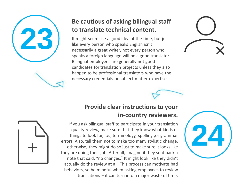

#### **Be cautious of asking bilingual staff to translate technical content.**

It might seem like a good idea at the time, but just like every person who speaks English isn't necessarily a great writer, not every person who speaks a foreign language will be a good translator. Bilingual employees are generally not good candidates for translation projects unless they also happen to be professional translators who have the necessary credentials or subject matter expertise.



#### **Provide clear instructions to your in-country reviewers.**

If you ask bilingual staff to participate in your translation quality review, make sure that they know what kinds of things to look for, i.e., terminology, spelling ,or grammar errors. Also, tell them not to make too many stylistic change, otherwise, they might do so just to make sure it looks like they are doing their job. After all, imagine if they sent back a note that said, "no changes." It might look like they didn't actually do the review at all. This process can motivate bad behaviors, so be mindful when asking employees to review translations – it can turn into a major waste of time.

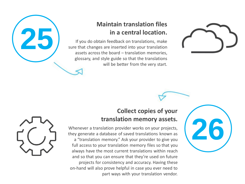#### **Maintain translation files in a central location.**

If you do obtain feedback on translations, make sure that changes are inserted into your translation assets across the board – translation memories, glossary, and style guide so that the translations will be better from the very start.





**25**

#### **Collect copies of your translation memory assets.**

Whenever a translation provider works on your projects, they generate a database of saved translations known as a "translation memory." Ask your provider to give you full access to your translation memory files so that you always have the most current translations within reach and so that you can ensure that they're used on future projects for consistency and accuracy. Having these on-hand will also prove helpful in case you ever need to part ways with your translation vendor.

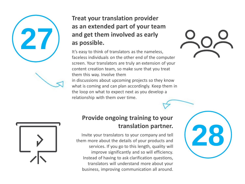#### **Treat your translation provider as an extended part of your team and get them involved as early as possible.**

It's easy to think of translators as the nameless, faceless individuals on the other end of the computer screen. Your translators are truly an extension of your content creation team, so make sure that you treat them this way. Involve them in discussions about upcoming projects so they know what is coming and can plan accordingly. Keep them in the loop on what to expect next as you develop a relationship with them over time.





**27**

#### **Provide ongoing training to your translation partner.**

Invite your translators to your company and tell them more about the details of your products and services. If you go to this length, quality will improve significantly and so will efficiency. Instead of having to ask clarification questions, translators will understand more about your business, improving communication all around.

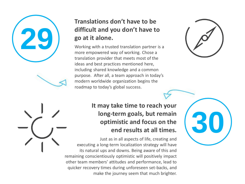#### **Translations don't have to be difficult and you don't have to go at it alone. 29**

Working with a trusted translation partner is a more empowered way of working. Chose a translation provider that meets most of the ideas and best practices mentioned here, including shared knowledge and a common purpose. After all, a team approach in today's modern worldwide organization begins the roadmap to today's global success.



**30**

#### **It may take time to reach your long-term goals, but remain optimistic and focus on the end results at all times.**

Just as in all aspects of life, creating and executing a long-term localization strategy will have its natural ups and downs. Being aware of this and remaining conscientiously optimistic will positively impact other team members' attitudes and performance, lead to quicker recovery times during unforeseen set-backs, and make the journey seem that much brighter.